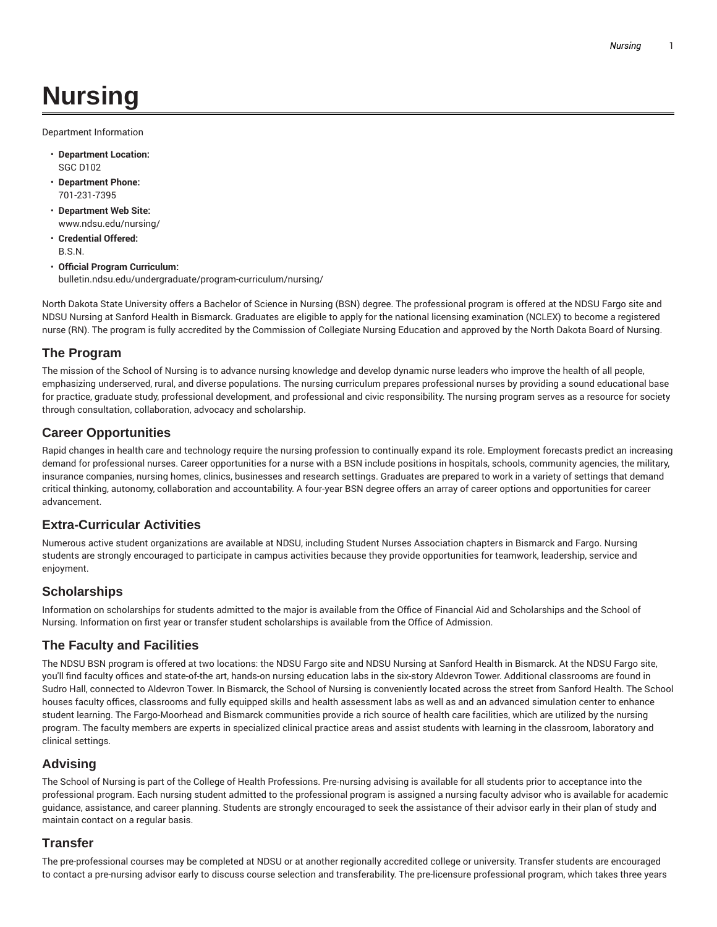# **Nursing**

Department Information

- **Department Location:** SGC D102
- **Department Phone:** 701-231-7395
- **Department Web Site:** www.ndsu.edu/nursing/
- **Credential Offered:** B.S.N.
- **Official Program Curriculum:** bulletin.ndsu.edu/undergraduate/program-curriculum/nursing/

North Dakota State University offers a Bachelor of Science in Nursing (BSN) degree. The professional program is offered at the NDSU Fargo site and NDSU Nursing at Sanford Health in Bismarck. Graduates are eligible to apply for the national licensing examination (NCLEX) to become a registered nurse (RN). The program is fully accredited by the Commission of Collegiate Nursing Education and approved by the North Dakota Board of Nursing.

# **The Program**

The mission of the School of Nursing is to advance nursing knowledge and develop dynamic nurse leaders who improve the health of all people, emphasizing underserved, rural, and diverse populations. The nursing curriculum prepares professional nurses by providing a sound educational base for practice, graduate study, professional development, and professional and civic responsibility. The nursing program serves as a resource for society through consultation, collaboration, advocacy and scholarship.

# **Career Opportunities**

Rapid changes in health care and technology require the nursing profession to continually expand its role. Employment forecasts predict an increasing demand for professional nurses. Career opportunities for a nurse with a BSN include positions in hospitals, schools, community agencies, the military, insurance companies, nursing homes, clinics, businesses and research settings. Graduates are prepared to work in a variety of settings that demand critical thinking, autonomy, collaboration and accountability. A four-year BSN degree offers an array of career options and opportunities for career advancement.

# **Extra-Curricular Activities**

Numerous active student organizations are available at NDSU, including Student Nurses Association chapters in Bismarck and Fargo. Nursing students are strongly encouraged to participate in campus activities because they provide opportunities for teamwork, leadership, service and enjoyment.

# **Scholarships**

Information on scholarships for students admitted to the major is available from the Office of Financial Aid and Scholarships and the School of Nursing. Information on first year or transfer student scholarships is available from the Office of Admission.

# **The Faculty and Facilities**

The NDSU BSN program is offered at two locations: the NDSU Fargo site and NDSU Nursing at Sanford Health in Bismarck. At the NDSU Fargo site, you'll find faculty offices and state-of-the art, hands-on nursing education labs in the six-story Aldevron Tower. Additional classrooms are found in Sudro Hall, connected to Aldevron Tower. In Bismarck, the School of Nursing is conveniently located across the street from Sanford Health. The School houses faculty offices, classrooms and fully equipped skills and health assessment labs as well as and an advanced simulation center to enhance student learning. The Fargo-Moorhead and Bismarck communities provide a rich source of health care facilities, which are utilized by the nursing program. The faculty members are experts in specialized clinical practice areas and assist students with learning in the classroom, laboratory and clinical settings.

# **Advising**

The School of Nursing is part of the College of Health Professions. Pre-nursing advising is available for all students prior to acceptance into the professional program. Each nursing student admitted to the professional program is assigned a nursing faculty advisor who is available for academic guidance, assistance, and career planning. Students are strongly encouraged to seek the assistance of their advisor early in their plan of study and maintain contact on a regular basis.

# **Transfer**

The pre-professional courses may be completed at NDSU or at another regionally accredited college or university. Transfer students are encouraged to contact a pre-nursing advisor early to discuss course selection and transferability. The pre-licensure professional program, which takes three years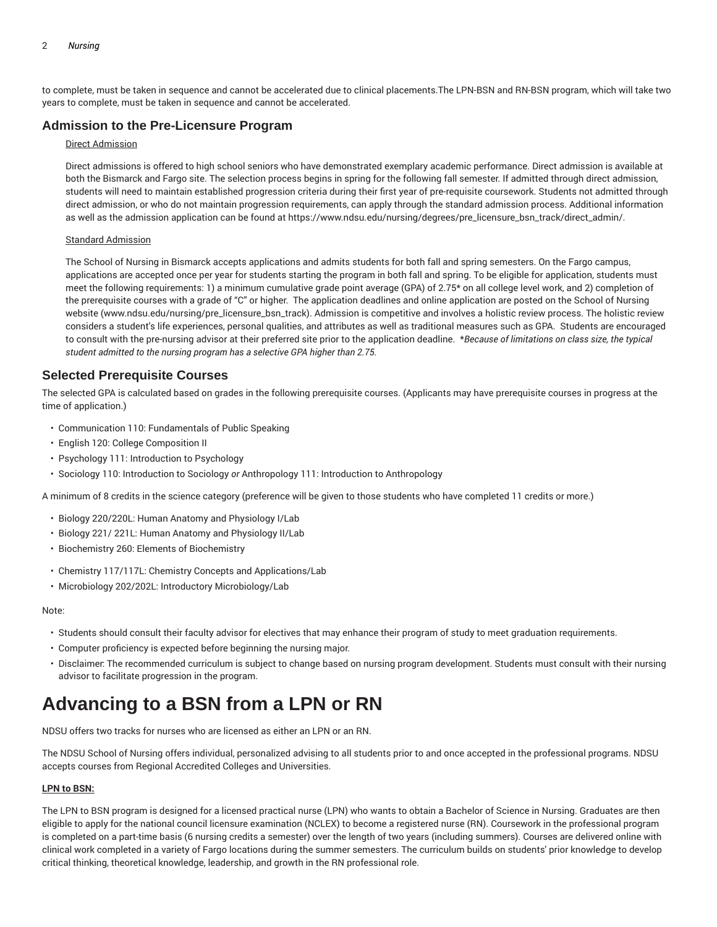to complete, must be taken in sequence and cannot be accelerated due to clinical placements.The LPN-BSN and RN-BSN program, which will take two years to complete, must be taken in sequence and cannot be accelerated.

# **Admission to the Pre-Licensure Program**

### Direct Admission

Direct admissions is offered to high school seniors who have demonstrated exemplary academic performance. Direct admission is available at both the Bismarck and Fargo site. The selection process begins in spring for the following fall semester. If admitted through direct admission, students will need to maintain established progression criteria during their first year of pre-requisite coursework. Students not admitted through direct admission, or who do not maintain progression requirements, can apply through the standard admission process. Additional information as well as the admission application can be found at https://www.ndsu.edu/nursing/degrees/pre\_licensure\_bsn\_track/direct\_admin/.

### Standard Admission

The School of Nursing in Bismarck accepts applications and admits students for both fall and spring semesters. On the Fargo campus, applications are accepted once per year for students starting the program in both fall and spring. To be eligible for application, students must meet the following requirements: 1) a minimum cumulative grade point average (GPA) of 2.75\* on all college level work, and 2) completion of the prerequisite courses with a grade of "C" or higher. The application deadlines and online application are posted on the School of Nursing website (www.ndsu.edu/nursing/pre\_licensure\_bsn\_track). Admission is competitive and involves a holistic review process. The holistic review considers a student's life experiences, personal qualities, and attributes as well as traditional measures such as GPA. Students are encouraged to consult with the pre-nursing advisor at their preferred site prior to the application deadline. \**Because of limitations on class size, the typical student admitted to the nursing program has a selective GPA higher than 2.75.*

### **Selected Prerequisite Courses**

The selected GPA is calculated based on grades in the following prerequisite courses. (Applicants may have prerequisite courses in progress at the time of application.)

- Communication 110: Fundamentals of Public Speaking
- English 120: College Composition II
- Psychology 111: Introduction to Psychology
- Sociology 110: Introduction to Sociology *or* Anthropology 111: Introduction to Anthropology

A minimum of 8 credits in the science category (preference will be given to those students who have completed 11 credits or more.)

- Biology 220/220L: Human Anatomy and Physiology I/Lab
- Biology 221/ 221L: Human Anatomy and Physiology II/Lab
- Biochemistry 260: Elements of Biochemistry
- Chemistry 117/117L: Chemistry Concepts and Applications/Lab
- Microbiology 202/202L: Introductory Microbiology/Lab

### Note:

- Students should consult their faculty advisor for electives that may enhance their program of study to meet graduation requirements.
- Computer proficiency is expected before beginning the nursing major.
- Disclaimer: The recommended curriculum is subject to change based on nursing program development. Students must consult with their nursing advisor to facilitate progression in the program.

# **Advancing to a BSN from a LPN or RN**

NDSU offers two tracks for nurses who are licensed as either an LPN or an RN.

The NDSU School of Nursing offers individual, personalized advising to all students prior to and once accepted in the professional programs. NDSU accepts courses from Regional Accredited Colleges and Universities.

### **LPN to BSN:**

The LPN to BSN program is designed for a licensed practical nurse (LPN) who wants to obtain a Bachelor of Science in Nursing. Graduates are then eligible to apply for the national council licensure examination (NCLEX) to become a registered nurse (RN). Coursework in the professional program is completed on a part-time basis (6 nursing credits a semester) over the length of two years (including summers). Courses are delivered online with clinical work completed in a variety of Fargo locations during the summer semesters. The curriculum builds on students' prior knowledge to develop critical thinking, theoretical knowledge, leadership, and growth in the RN professional role.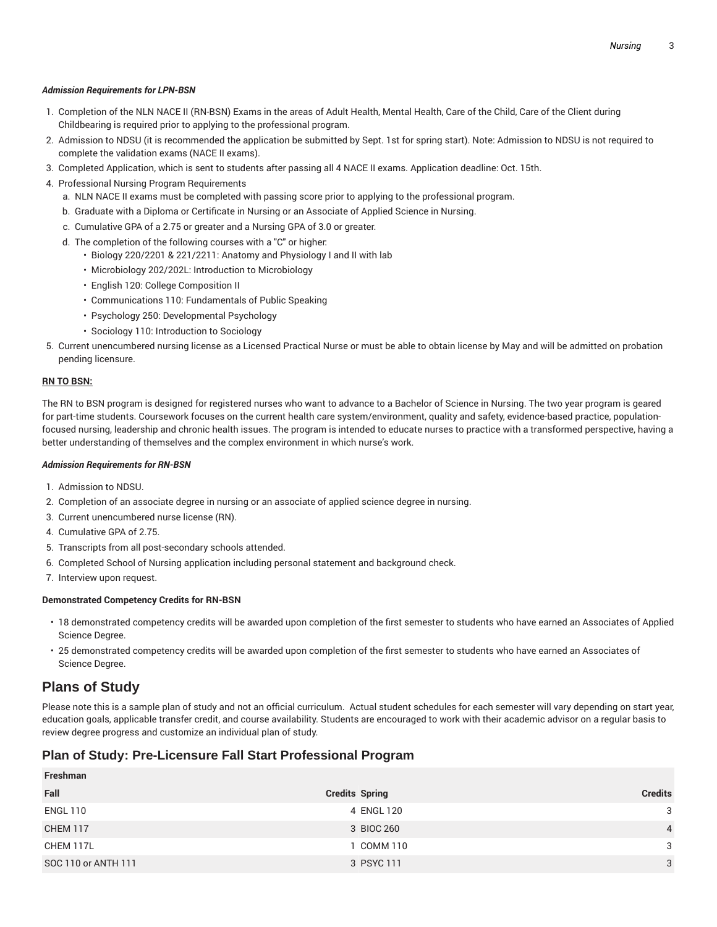### *Admission Requirements for LPN-BSN*

- 1. Completion of the NLN NACE II (RN-BSN) Exams in the areas of Adult Health, Mental Health, Care of the Child, Care of the Client during Childbearing is required prior to applying to the professional program.
- 2. Admission to NDSU (it is recommended the application be submitted by Sept. 1st for spring start). Note: Admission to NDSU is not required to complete the validation exams (NACE II exams).
- 3. Completed Application, which is sent to students after passing all 4 NACE II exams. Application deadline: Oct. 15th.
- 4. Professional Nursing Program Requirements
	- a. NLN NACE II exams must be completed with passing score prior to applying to the professional program.
	- b. Graduate with a Diploma or Certificate in Nursing or an Associate of Applied Science in Nursing.
	- c. Cumulative GPA of a 2.75 or greater and a Nursing GPA of 3.0 or greater.
	- d. The completion of the following courses with a "C" or higher:
		- Biology 220/2201 & 221/2211: Anatomy and Physiology I and II with lab
		- Microbiology 202/202L: Introduction to Microbiology
		- English 120: College Composition II
		- Communications 110: Fundamentals of Public Speaking
		- Psychology 250: Developmental Psychology
		- Sociology 110: Introduction to Sociology
- 5. Current unencumbered nursing license as a Licensed Practical Nurse or must be able to obtain license by May and will be admitted on probation pending licensure.

### **RN TO BSN:**

The RN to BSN program is designed for registered nurses who want to advance to a Bachelor of Science in Nursing. The two year program is geared for part-time students. Coursework focuses on the current health care system/environment, quality and safety, evidence-based practice, populationfocused nursing, leadership and chronic health issues. The program is intended to educate nurses to practice with a transformed perspective, having a better understanding of themselves and the complex environment in which nurse's work.

### *Admission Requirements for RN-BSN*

- 1. Admission to NDSU.
- 2. Completion of an associate degree in nursing or an associate of applied science degree in nursing.
- 3. Current unencumbered nurse license (RN).
- 4. Cumulative GPA of 2.75.
- 5. Transcripts from all post-secondary schools attended.
- 6. Completed School of Nursing application including personal statement and background check.
- 7. Interview upon request.

### **Demonstrated Competency Credits for RN-BSN**

- 18 demonstrated competency credits will be awarded upon completion of the first semester to students who have earned an Associates of Applied Science Degree.
- 25 demonstrated competency credits will be awarded upon completion of the first semester to students who have earned an Associates of Science Degree.

# **Plans of Study**

Please note this is a sample plan of study and not an official curriculum. Actual student schedules for each semester will vary depending on start year, education goals, applicable transfer credit, and course availability. Students are encouraged to work with their academic advisor on a regular basis to review degree progress and customize an individual plan of study.

# **Plan of Study: Pre-Licensure Fall Start Professional Program**

| Freshman            |                       |                |
|---------------------|-----------------------|----------------|
| Fall                | <b>Credits Spring</b> | <b>Credits</b> |
| <b>ENGL 110</b>     | 4 ENGL 120            | 3              |
| <b>CHEM 117</b>     | 3 BIOC 260            | $\overline{4}$ |
| CHEM 117L           | 1 COMM 110            | 3              |
| SOC 110 or ANTH 111 | 3 PSYC 111            | 3              |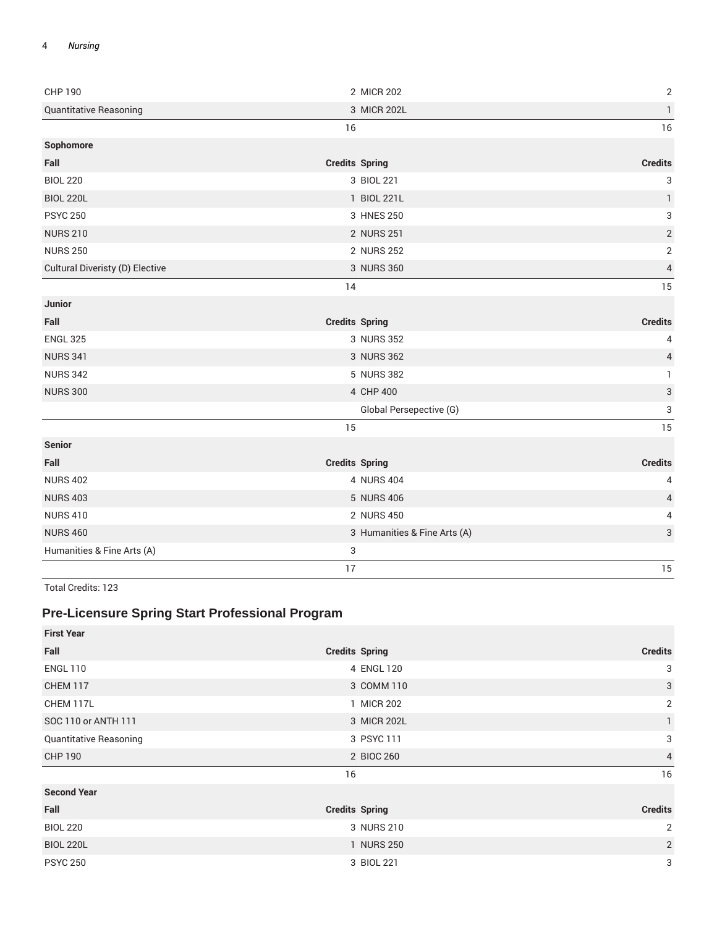| <b>CHP 190</b>                  | 2 MICR 202                   | $\mathbf{2}$              |
|---------------------------------|------------------------------|---------------------------|
| <b>Quantitative Reasoning</b>   | 3 MICR 202L                  | $\mathbf{1}$              |
|                                 | 16                           | 16                        |
| Sophomore                       |                              |                           |
| Fall                            | <b>Credits Spring</b>        | <b>Credits</b>            |
| <b>BIOL 220</b>                 | 3 BIOL 221                   | 3                         |
| <b>BIOL 220L</b>                | 1 BIOL 221L                  | $\mathbf{1}$              |
| <b>PSYC 250</b>                 | 3 HNES 250                   | $\sqrt{3}$                |
| <b>NURS 210</b>                 | 2 NURS 251                   | $\sqrt{2}$                |
| <b>NURS 250</b>                 | 2 NURS 252                   | $\sqrt{2}$                |
| Cultural Diveristy (D) Elective | 3 NURS 360                   | $\overline{4}$            |
|                                 | 14                           | 15                        |
| Junior                          |                              |                           |
| Fall                            | <b>Credits Spring</b>        | <b>Credits</b>            |
| <b>ENGL 325</b>                 | 3 NURS 352                   | 4                         |
| <b>NURS 341</b>                 | 3 NURS 362                   | $\overline{4}$            |
| <b>NURS 342</b>                 | 5 NURS 382                   | $\mathbf{1}$              |
| <b>NURS 300</b>                 | 4 CHP 400                    | $\ensuremath{\mathsf{3}}$ |
|                                 | Global Persepective (G)      | 3                         |
|                                 | 15                           | 15                        |
| <b>Senior</b>                   |                              |                           |
| Fall                            | <b>Credits Spring</b>        | <b>Credits</b>            |
| <b>NURS 402</b>                 | 4 NURS 404                   | 4                         |
| <b>NURS 403</b>                 | 5 NURS 406                   | 4                         |
| <b>NURS 410</b>                 | 2 NURS 450                   | 4                         |
| <b>NURS 460</b>                 | 3 Humanities & Fine Arts (A) | 3                         |
| Humanities & Fine Arts (A)      | 3                            |                           |
|                                 | 17                           | 15                        |

Total Credits: 123

# **Pre-Licensure Spring Start Professional Program**

| <b>First Year</b>             |                       |                |
|-------------------------------|-----------------------|----------------|
| Fall                          | <b>Credits Spring</b> | <b>Credits</b> |
| <b>ENGL 110</b>               | 4 ENGL 120            | 3              |
| <b>CHEM 117</b>               | 3 COMM 110            | 3              |
| CHEM 117L                     | 1 MICR 202            | 2              |
| SOC 110 or ANTH 111           | 3 MICR 202L           | $\mathbf{1}$   |
| <b>Quantitative Reasoning</b> | 3 PSYC 111            | 3              |
| <b>CHP 190</b>                | 2 BIOC 260            | 4              |
|                               | 16                    | 16             |
| <b>Second Year</b>            |                       |                |
| Fall                          | <b>Credits Spring</b> | <b>Credits</b> |
| <b>BIOL 220</b>               | 3 NURS 210            | 2              |
| <b>BIOL 220L</b>              | 1 NURS 250            | $\overline{2}$ |
| <b>PSYC 250</b>               | 3 BIOL 221            | 3              |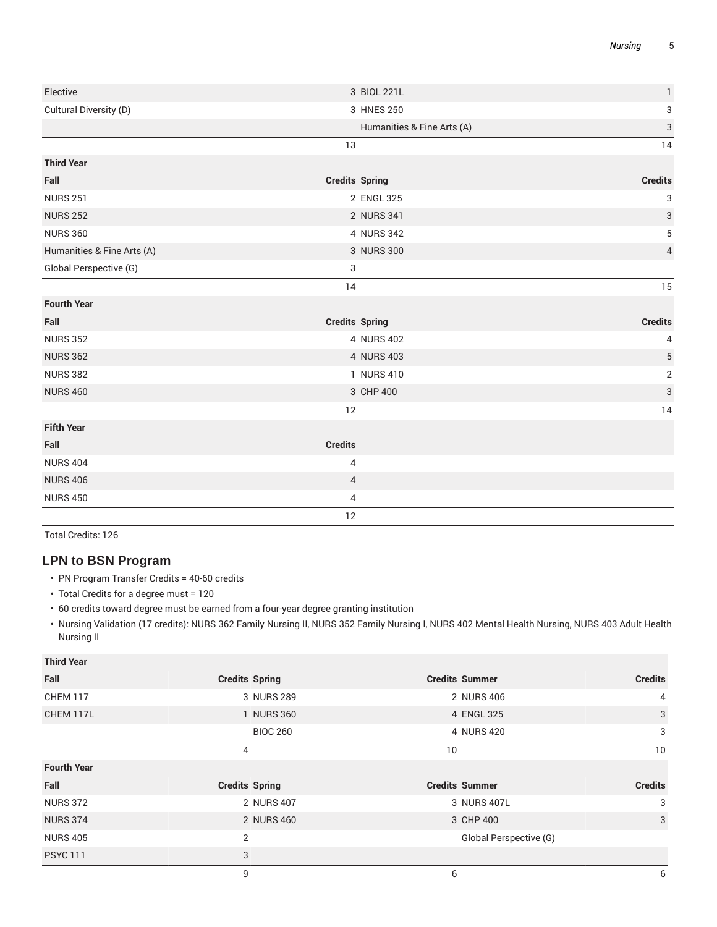| Elective                   | 3 BIOL 221L                | $\mathbf{1}$   |
|----------------------------|----------------------------|----------------|
| Cultural Diversity (D)     | 3 HNES 250                 | 3              |
|                            | Humanities & Fine Arts (A) | $\sqrt{3}$     |
|                            | 13                         | 14             |
| <b>Third Year</b>          |                            |                |
| Fall                       | <b>Credits Spring</b>      | <b>Credits</b> |
| <b>NURS 251</b>            | 2 ENGL 325                 | 3              |
| <b>NURS 252</b>            | 2 NURS 341                 | 3              |
| <b>NURS 360</b>            | 4 NURS 342                 | 5              |
| Humanities & Fine Arts (A) | 3 NURS 300                 | $\overline{4}$ |
| Global Perspective (G)     | 3                          |                |
|                            | 14                         | 15             |
| <b>Fourth Year</b>         |                            |                |
| Fall                       | <b>Credits Spring</b>      | <b>Credits</b> |
| <b>NURS 352</b>            | 4 NURS 402                 | 4              |
| <b>NURS 362</b>            | 4 NURS 403                 | 5              |
| <b>NURS 382</b>            | 1 NURS 410                 | 2              |
| <b>NURS 460</b>            | 3 CHP 400                  | 3              |
|                            | 12                         | 14             |
| <b>Fifth Year</b>          |                            |                |
| Fall                       | <b>Credits</b>             |                |
| <b>NURS 404</b>            | 4                          |                |
| <b>NURS 406</b>            | $\overline{4}$             |                |
| <b>NURS 450</b>            | 4                          |                |
|                            | 12                         |                |

Total Credits: 126

# **LPN to BSN Program**

- PN Program Transfer Credits = 40-60 credits
- Total Credits for a degree must = 120
- 60 credits toward degree must be earned from a four-year degree granting institution
- Nursing Validation (17 credits): NURS 362 Family Nursing II, NURS 352 Family Nursing I, NURS 402 Mental Health Nursing, NURS 403 Adult Health Nursing II

| <b>Third Year</b>  |                       |                        |                |
|--------------------|-----------------------|------------------------|----------------|
| Fall               | <b>Credits Spring</b> | <b>Credits Summer</b>  | <b>Credits</b> |
| <b>CHEM 117</b>    | 3 NURS 289            | 2 NURS 406             | $\overline{4}$ |
| CHEM 117L          | 1 NURS 360            | 4 ENGL 325             | 3              |
|                    | <b>BIOC 260</b>       | 4 NURS 420             | 3              |
|                    | 4                     | 10                     | 10             |
| <b>Fourth Year</b> |                       |                        |                |
| Fall               | <b>Credits Spring</b> | <b>Credits Summer</b>  | <b>Credits</b> |
| <b>NURS 372</b>    | 2 NURS 407            | 3 NURS 407L            | 3              |
| <b>NURS 374</b>    | 2 NURS 460            | 3 CHP 400              | 3              |
| <b>NURS 405</b>    | 2                     | Global Perspective (G) |                |
| <b>PSYC 111</b>    | 3                     |                        |                |
|                    | 9                     | 6                      | 6              |